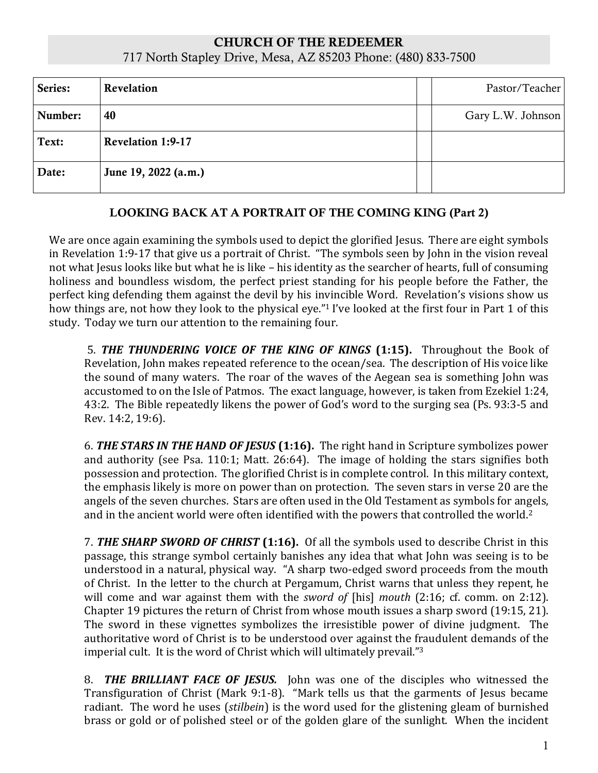## CHURCH OF THE REDEEMER 717 North Stapley Drive, Mesa, AZ 85203 Phone: (480) 833-7500

| Series: | Revelation               | Pastor/Teacher    |
|---------|--------------------------|-------------------|
| Number: | 40                       | Gary L.W. Johnson |
| Text:   | <b>Revelation 1:9-17</b> |                   |
| Date:   | June 19, 2022 (a.m.)     |                   |

## LOOKING BACK AT A PORTRAIT OF THE COMING KING (Part 2)

We are once again examining the symbols used to depict the glorified Jesus. There are eight symbols in Revelation 1:9-17 that give us a portrait of Christ. "The symbols seen by John in the vision reveal not what Jesus looks like but what he is like – his identity as the searcher of hearts, full of consuming holiness and boundless wisdom, the perfect priest standing for his people before the Father, the perfect king defending them against the devil by his invincible Word. Revelation's visions show us how things are, not how they look to the physical eye."<sup>1</sup> I've looked at the first four in Part 1 of this study. Today we turn our attention to the remaining four.

5. *THE THUNDERING VOICE OF THE KING OF KINGS* **(1:15).** Throughout the Book of Revelation, John makes repeated reference to the ocean/sea. The description of His voice like the sound of many waters. The roar of the waves of the Aegean sea is something John was accustomed to on the Isle of Patmos. The exact language, however, is taken from Ezekiel 1:24, 43:2. The Bible repeatedly likens the power of God's word to the surging sea (Ps. 93:3-5 and Rev. 14:2, 19:6).

6. *THE STARS IN THE HAND OF JESUS* **(1:16).** The right hand in Scripture symbolizes power and authority (see Psa. 110:1; Matt. 26:64). The image of holding the stars signifies both possession and protection. The glorified Christ is in complete control. In this military context, the emphasis likely is more on power than on protection. The seven stars in verse 20 are the angels of the seven churches. Stars are often used in the Old Testament as symbols for angels, and in the ancient world were often identified with the powers that controlled the world.<sup>2</sup>

7. *THE SHARP SWORD OF CHRIST* **(1:16).** Of all the symbols used to describe Christ in this passage, this strange symbol certainly banishes any idea that what John was seeing is to be understood in a natural, physical way. "A sharp two-edged sword proceeds from the mouth of Christ. In the letter to the church at Pergamum, Christ warns that unless they repent, he will come and war against them with the *sword of* [his] *mouth* (2:16; cf. comm. on 2:12). Chapter 19 pictures the return of Christ from whose mouth issues a sharp sword (19:15, 21). The sword in these vignettes symbolizes the irresistible power of divine judgment. The authoritative word of Christ is to be understood over against the fraudulent demands of the imperial cult. It is the word of Christ which will ultimately prevail."<sup>3</sup>

8. *THE BRILLIANT FACE OF JESUS.* John was one of the disciples who witnessed the Transfiguration of Christ (Mark 9:1-8). "Mark tells us that the garments of Jesus became radiant. The word he uses (*stilbein*) is the word used for the glistening gleam of burnished brass or gold or of polished steel or of the golden glare of the sunlight. When the incident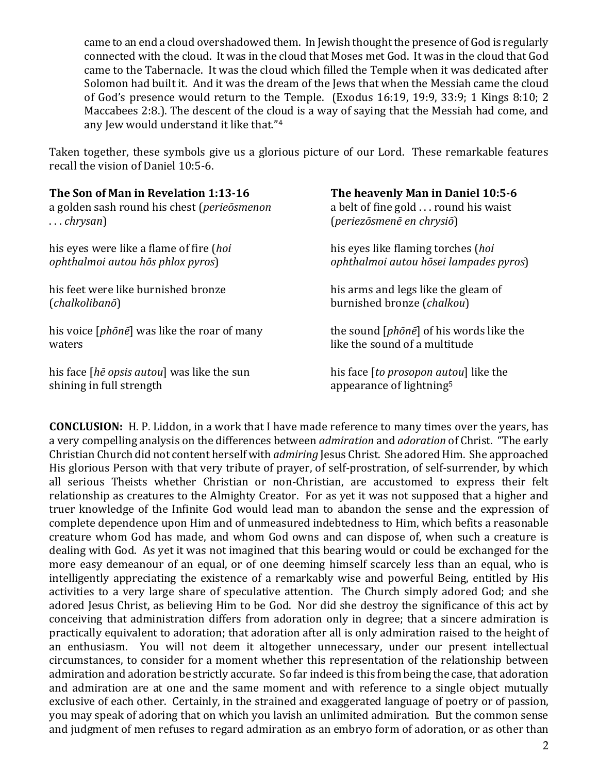came to an end a cloud overshadowed them. In Jewish thought the presence of God is regularly connected with the cloud. It was in the cloud that Moses met God. It was in the cloud that God came to the Tabernacle. It was the cloud which filled the Temple when it was dedicated after Solomon had built it. And it was the dream of the Jews that when the Messiah came the cloud of God's presence would return to the Temple. (Exodus 16:19, 19:9, 33:9; 1 Kings 8:10; 2 Maccabees 2:8.). The descent of the cloud is a way of saying that the Messiah had come, and any Jew would understand it like that."<sup>4</sup>

Taken together, these symbols give us a glorious picture of our Lord. These remarkable features recall the vision of Daniel 10:5-6.

| The Son of Man in Revelation 1:13-16                 | The heavenly Man in Daniel 10:5-6                |
|------------------------------------------------------|--------------------------------------------------|
| a golden sash round his chest (perieōsmenon          | a belt of fine gold round his waist              |
| $\ldots$ chrysan)                                    | (periezōsmenē en chrysiō)                        |
| his eyes were like a flame of fire ( <i>hoi</i>      | his eyes like flaming torches (hoi               |
| ophthalmoi autou hōs phlox pyros)                    | ophthalmoi autou hõsei lampades pyros)           |
| his feet were like burnished bronze                  | his arms and legs like the gleam of              |
| (chalkolibanō)                                       | burnished bronze (chalkou)                       |
| his voice [ <i>phōnē</i> ] was like the roar of many | the sound [ <i>phōnē</i> ] of his words like the |
| waters                                               | like the sound of a multitude                    |
| his face <i>[hē opsis autou]</i> was like the sun    | his face [to prosopon autou] like the            |
| shining in full strength                             | appearance of lightning <sup>5</sup>             |

**CONCLUSION:** H. P. Liddon, in a work that I have made reference to many times over the years, has a very compelling analysis on the differences between *admiration* and *adoration* of Christ. "The early Christian Church did not content herself with *admiring* Jesus Christ. She adored Him. She approached His glorious Person with that very tribute of prayer, of self-prostration, of self-surrender, by which all serious Theists whether Christian or non-Christian, are accustomed to express their felt relationship as creatures to the Almighty Creator. For as yet it was not supposed that a higher and truer knowledge of the Infinite God would lead man to abandon the sense and the expression of complete dependence upon Him and of unmeasured indebtedness to Him, which befits a reasonable creature whom God has made, and whom God owns and can dispose of, when such a creature is dealing with God. As yet it was not imagined that this bearing would or could be exchanged for the more easy demeanour of an equal, or of one deeming himself scarcely less than an equal, who is intelligently appreciating the existence of a remarkably wise and powerful Being, entitled by His activities to a very large share of speculative attention. The Church simply adored God; and she adored Jesus Christ, as believing Him to be God. Nor did she destroy the significance of this act by conceiving that administration differs from adoration only in degree; that a sincere admiration is practically equivalent to adoration; that adoration after all is only admiration raised to the height of an enthusiasm. You will not deem it altogether unnecessary, under our present intellectual circumstances, to consider for a moment whether this representation of the relationship between admiration and adoration be strictly accurate. So far indeed is this from being the case, that adoration and admiration are at one and the same moment and with reference to a single object mutually exclusive of each other. Certainly, in the strained and exaggerated language of poetry or of passion, you may speak of adoring that on which you lavish an unlimited admiration. But the common sense and judgment of men refuses to regard admiration as an embryo form of adoration, or as other than